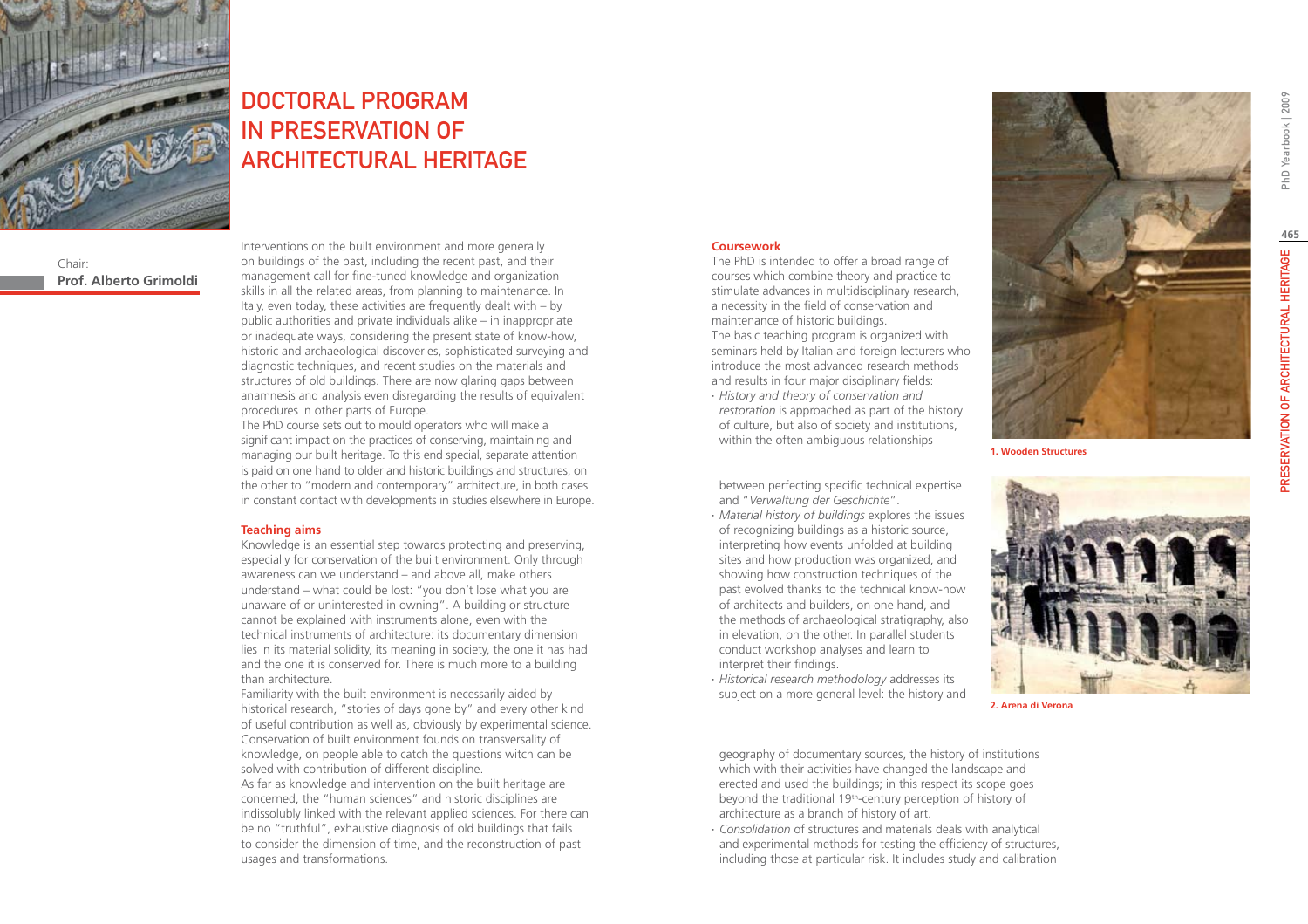

# DOCTORAL PROGRAM IN PRESERVATION OF ARCHITECTURAL HERITAGE

Chair: **Prof. Alberto Grimoldi** Interventions on the built environment and more generally on buildings of the past, including the recent past, and their management call for fine-tuned knowledge and organization skills in all the related areas, from planning to maintenance. In Italy, even today, these activities are frequently dealt with – by public authorities and private individuals alike – in inappropriate or inadequate ways, considering the present state of know-how, historic and archaeological discoveries, sophisticated surveying and diagnostic techniques, and recent studies on the materials and structures of old buildings. There are now glaring gaps between anamnesis and analysis even disregarding the results of equivalent procedures in other parts of Europe.

The PhD course sets out to mould operators who will make a significant impact on the practices of conserving, maintaining and managing our built heritage. To this end special, separate attention is paid on one hand to older and historic buildings and structures, on the other to "modern and contemporary" architecture, in both cases in constant contact with developments in studies elsewhere in Europe.

#### **Teaching aims**

Knowledge is an essential step towards protecting and preserving, especially for conservation of the built environment. Only through awareness can we understand – and above all, make others understand – what could be lost: "you don't lose what you are unaware of or uninterested in owning". A building or structure cannot be explained with instruments alone, even with the technical instruments of architecture: its documentary dimension lies in its material solidity, its meaning in society, the one it has had and the one it is conserved for. There is much more to a building than architecture.

Familiarity with the built environment is necessarily aided by historical research, "stories of days gone by" and every other kind of useful contribution as well as, obviously by experimental science. Conservation of built environment founds on transversality of knowledge, on people able to catch the questions witch can be solved with contribution of different discipline.

As far as knowledge and intervention on the built heritage are concerned, the "human sciences" and historic disciplines are indissolubly linked with the relevant applied sciences. For there can be no "truthful", exhaustive diagnosis of old buildings that fails to consider the dimension of time, and the reconstruction of past usages and transformations.

#### **Coursework**

The PhD is intended to offer a broad range of courses which combine theory and practice to stimulate advances in multidisciplinary research, a necessity in the field of conservation and maintenance of historic buildings. The basic teaching program is organized with seminars held by Italian and foreign lecturers who introduce the most advanced research methods and results in four major disciplinary fields:

∙ *History and theory of conservation and restoration* is approached as part of the history of culture, but also of society and institutions, within the often ambiguous relationships

between perfecting specific technical expertise and "*Verwaltung der Geschichte*".

- ∙ *Material history of buildings* explores the issues of recognizing buildings as a historic source, interpreting how events unfolded at building sites and how production was organized, and showing how construction techniques of the past evolved thanks to the technical know-how of architects and builders, on one hand, and the methods of archaeological stratigraphy, also in elevation, on the other. In parallel students conduct workshop analyses and learn to interpret their findings.
- ∙ *Historical research methodology* addresses its subject on a more general level: the history and

**1. Wooden Structures**



**2. Arena di Verona**

geography of documentary sources, the history of institutions which with their activities have changed the landscape and erected and used the buildings; in this respect its scope goes beyond the traditional 19<sup>th</sup>-century perception of history of architecture as a branch of history of art.

∙ *Consolidation* of structures and materials deals with analytical and experimental methods for testing the efficiency of structures, including those at particular risk. It includes study and calibration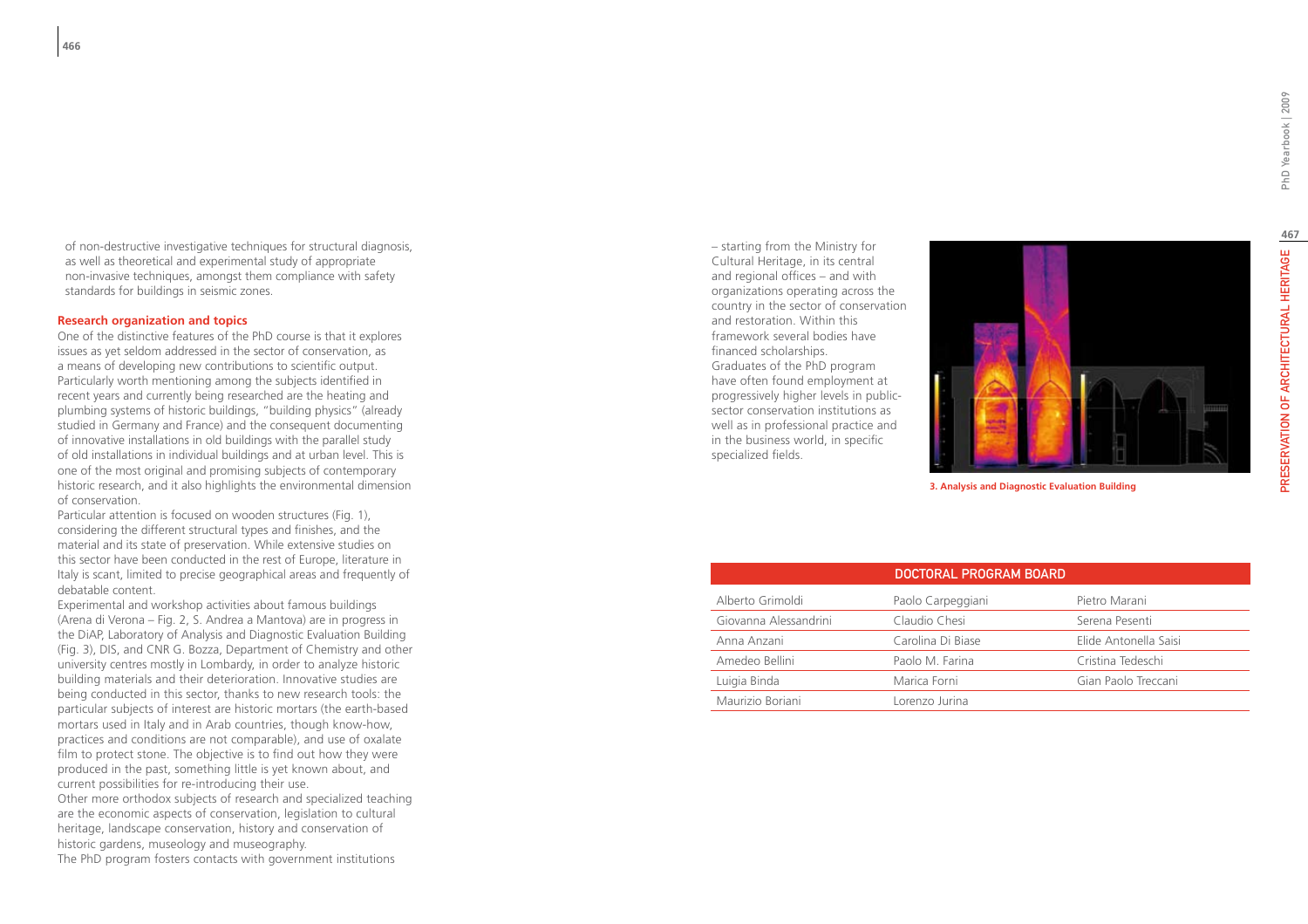of non-destructive investigative techniques for structural diagnosis, as well as theoretical and experimental study of appropriate non-invasive techniques, amongst them compliance with safety standards for buildings in seismic zones.

#### **Research organization and topics**

One of the distinctive features of the PhD course is that it explores issues as yet seldom addressed in the sector of conservation, as a means of developing new contributions to scientific output. Particularly worth mentioning among the subjects identified in recent years and currently being researched are the heating and plumbing systems of historic buildings, "building physics" (already studied in Germany and France) and the consequent documenting of innovative installations in old buildings with the parallel study of old installations in individual buildings and at urban level. This is one of the most original and promising subjects of contemporary historic research, and it also highlights the environmental dimension of conservation.

Particular attention is focused on wooden structures (Fig. 1), considering the different structural types and finishes, and the material and its state of preservation. While extensive studies on this sector have been conducted in the rest of Europe, literature in Italy is scant, limited to precise geographical areas and frequently of debatable content.

Experimental and workshop activities about famous buildings (Arena di Verona – Fig. 2, S. Andrea a Mantova) are in progress in the DiAP, Laboratory of Analysis and Diagnostic Evaluation Building (Fig. 3), DIS, and CNR G. Bozza, Department of Chemistry and other university centres mostly in Lombardy, in order to analyze historic building materials and their deterioration. Innovative studies are being conducted in this sector, thanks to new research tools: the particular subjects of interest are historic mortars (the earth-based mortars used in Italy and in Arab countries, though know-how, practices and conditions are not comparable), and use of oxalate film to protect stone. The objective is to find out how they were produced in the past, something little is yet known about, and current possibilities for re-introducing their use. Other more orthodox subjects of research and specialized teaching are the economic aspects of conservation, legislation to cultural heritage, landscape conservation, history and conservation of historic gardens, museology and museography. The PhD program fosters contacts with government institutions

– starting from the Ministry for Cultural Heritage, in its central and regional offices – and with organizations operating across the country in the sector of conservation and restoration. Within this framework several bodies have financed scholarships. Graduates of the PhD program have often found employment at progressively higher levels in publicsector conservation institutions as well as in professional practice and in the business world, in specific specialized fields.



| 3. Analysis and Diagnostic Evaluation Building |  |
|------------------------------------------------|--|
|                                                |  |

|                       | DOCTORAL PROGRAM BOARD |                       |
|-----------------------|------------------------|-----------------------|
| Alberto Grimoldi      | Paolo Carpeggiani      | Pietro Marani         |
| Giovanna Alessandrini | Claudio Chesi          | Serena Pesenti        |
| Anna Anzani           | Carolina Di Biase      | Elide Antonella Saisi |
| Amedeo Bellini        | Paolo M. Farina        | Cristina Tedeschi     |
| Luigia Binda          | Marica Forni           | Gian Paolo Treccani   |
| Maurizio Boriani      | Lorenzo Jurina         |                       |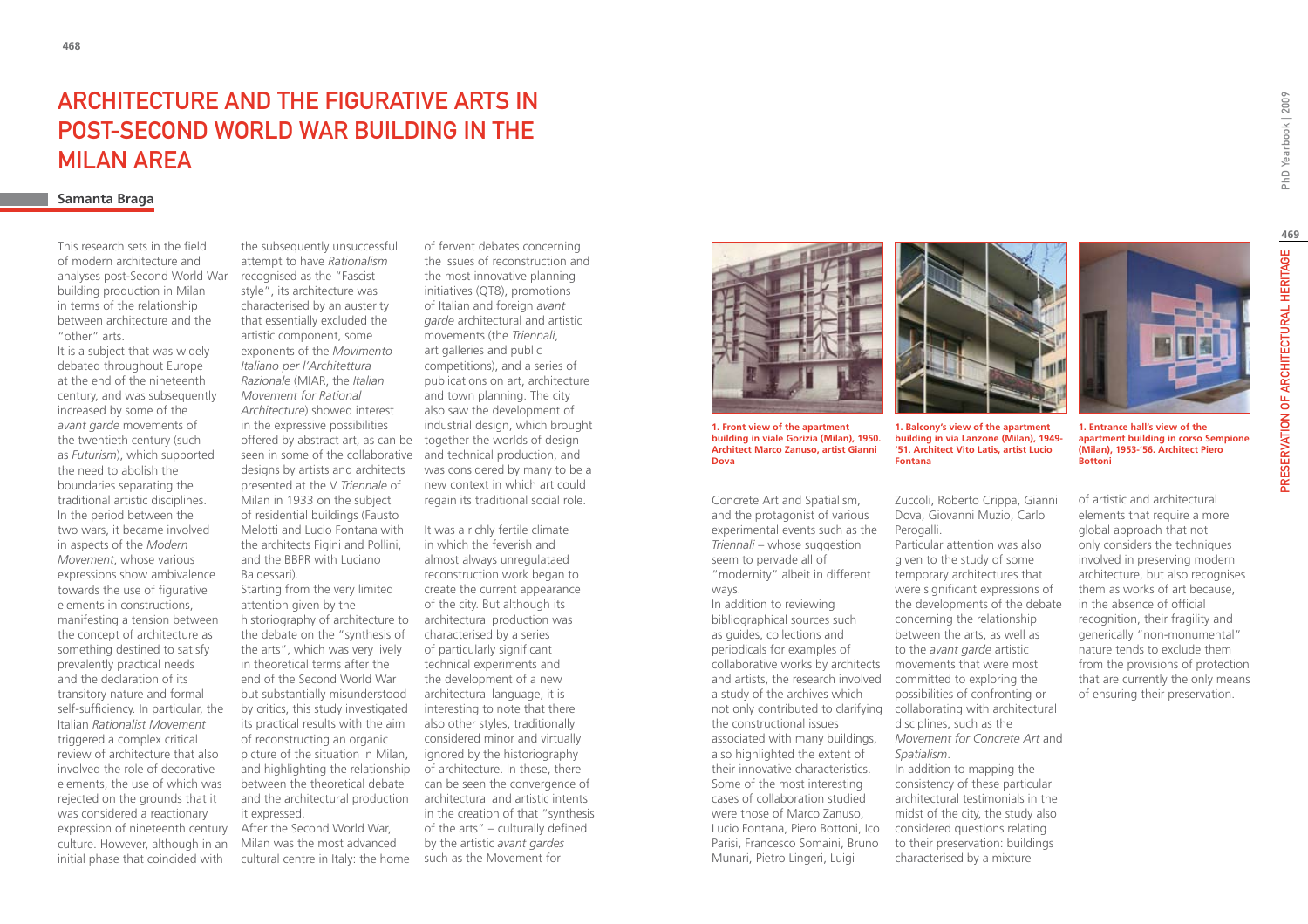### ARCHITECTURE AND THE FIGURATIVE ARTS IN POST-SECOND WORLD WAR BUILDING IN THE MILAN AREA

### **Samanta Braga**

This research sets in the field of modern architecture and analyses post-Second World War building production in Milan in terms of the relationship between architecture and the "other" arts.

It is a subject that was widely debated throughout Europe at the end of the nineteenth century, and was subsequently increased by some of the *avant garde* movements of the twentieth century (such as *Futurism*), which supported the need to abolish the boundaries separating the traditional artistic disciplines. In the period between the two wars, it became involved in aspects of the *Modern Movement*, whose various expressions show ambivalence towards the use of figurative elements in constructions, manifesting a tension between the concept of architecture as something destined to satisfy prevalently practical needs and the declaration of its transitory nature and formal self-sufficiency. In particular, the Italian *Rationalist Movement*  triggered a complex critical review of architecture that also involved the role of decorative elements, the use of which was rejected on the grounds that it was considered a reactionary expression of nineteenth century culture. However, although in an initial phase that coincided with

the subsequently unsuccessful attempt to have *Rationalism* recognised as the "Fascist style", its architecture was characterised by an austerity that essentially excluded the artistic component, some exponents of the *Movimento Italiano per l'Architettura Razionale* (MIAR, the *Italian Movement for Rational Architecture*) showed interest in the expressive possibilities offered by abstract art, as can be together the worlds of design seen in some of the collaborative and technical production, and designs by artists and architects presented at the V *Triennale* of Milan in 1933 on the subject of residential buildings (Fausto Melotti and Lucio Fontana with the architects Figini and Pollini, and the BBPR with Luciano Baldessari).

Starting from the very limited attention given by the historiography of architecture to the debate on the "synthesis of the arts", which was very lively in theoretical terms after the end of the Second World War but substantially misunderstood by critics, this study investigated its practical results with the aim of reconstructing an organic picture of the situation in Milan, and highlighting the relationship between the theoretical debate and the architectural production it expressed.

After the Second World War, Milan was the most advanced cultural centre in Italy: the home such as the Movement for

of fervent debates concerning the issues of reconstruction and the most innovative planning initiatives (QT8), promotions of Italian and foreign *avant garde* architectural and artistic movements (the *Triennali*, art galleries and public competitions), and a series of publications on art, architecture and town planning. The city also saw the development of industrial design, which brought was considered by many to be a new context in which art could regain its traditional social role.

It was a richly fertile climate in which the feverish and almost always unregulataed reconstruction work began to create the current appearance of the city. But although its architectural production was characterised by a series of particularly significant technical experiments and the development of a new architectural language, it is interesting to note that there also other styles, traditionally considered minor and virtually ignored by the historiography of architecture. In these, there can be seen the convergence of architectural and artistic intents in the creation of that "synthesis of the arts" – culturally defined by the artistic *avant gardes*



**1. Front view of the apartment building in viale Gorizia (Milan), 1950. Architect Marco Zanuso, artist Gianni Dova**

Concrete Art and Spatialism, and the protagonist of various experimental events such as the *Triennali* – whose suggestion seem to pervade all of "modernity" albeit in different ways.

In addition to reviewing bibliographical sources such as guides, collections and periodicals for examples of collaborative works by architects movements that were most and artists, the research involved a study of the archives which the constructional issues associated with many buildings, also highlighted the extent of their innovative characteristics. Some of the most interesting cases of collaboration studied were those of Marco Zanuso, Lucio Fontana, Piero Bottoni, Ico Parisi, Francesco Somaini, Bruno Munari, Pietro Lingeri, Luigi



**1. Balcony's view of the apartment building in via Lanzone (Milan), 1949- '51. Architect Vito Latis, artist Lucio Fontana**

Zuccoli, Roberto Crippa, Gianni Dova, Giovanni Muzio, Carlo Perogalli.

not only contributed to clarifying collaborating with architectural Particular attention was also given to the study of some temporary architectures that were significant expressions of the developments of the debate concerning the relationship between the arts, as well as to the *avant garde* artistic committed to exploring the possibilities of confronting or disciplines, such as the *Movement for Concrete Art* and *Spatialism*. In addition to mapping the consistency of these particular architectural testimonials in the

of artistic and architectural elements that require a more global approach that not only considers the techniques involved in preserving modern architecture, but also recognises them as works of art because, in the absence of official recognition, their fragility and generically "non-monumental" nature tends to exclude them from the provisions of protection that are currently the only means of ensuring their preservation.

midst of the city, the study also considered questions relating to their preservation: buildings characterised by a mixture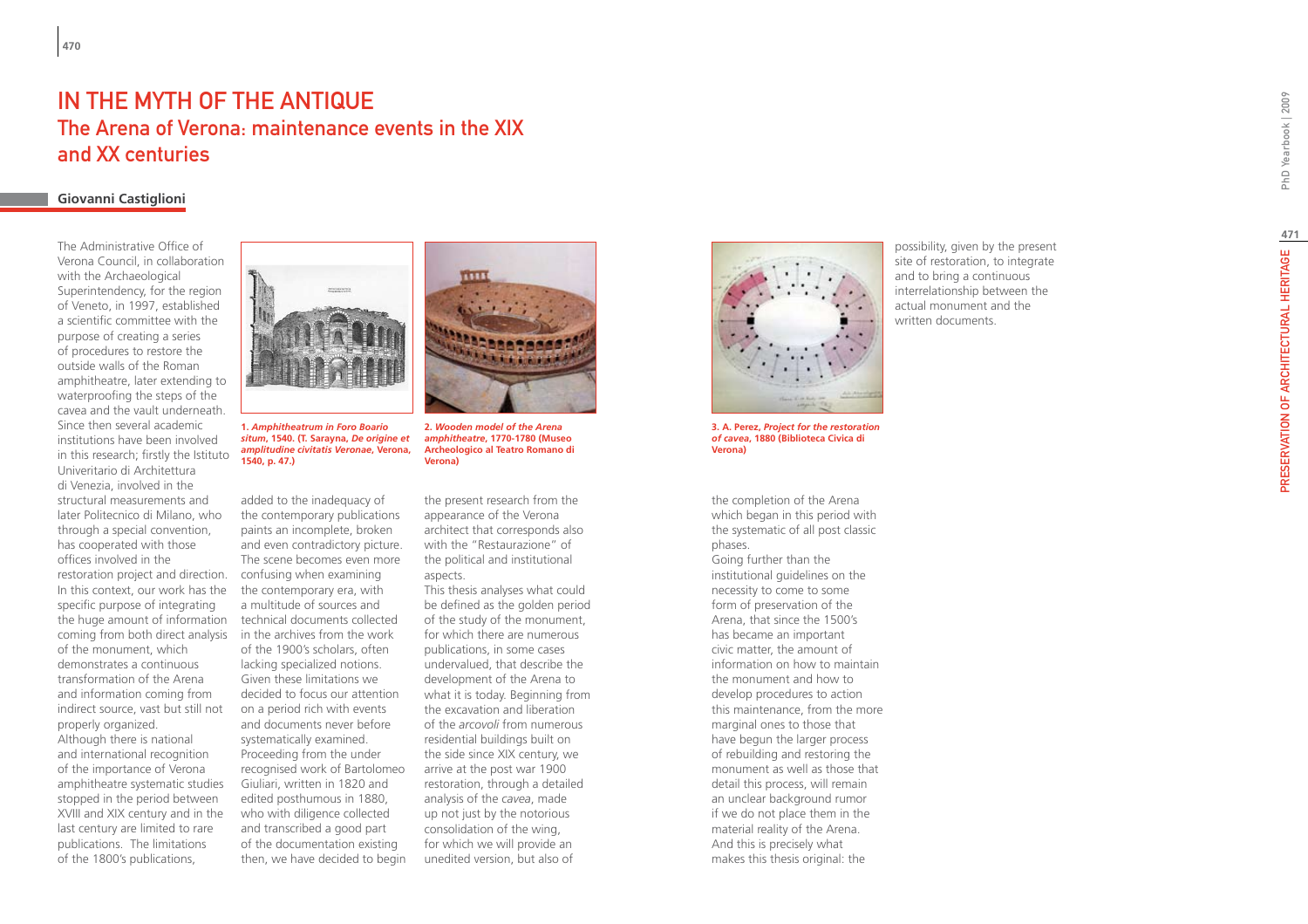### IN THE MYTH OF THE ANTIQU The Arena of Verona: maintenance events in the XIX and XX centuries

### **Giovanni Castiglioni**

The Administrative Office of Verona Council, in collaboration with the Archaeological Superintendency, for the region of Veneto, in 1997, established a scientific committee with the purpose of creating a series of procedures to restore the outside walls of the Roman amphitheatre, later extending to waterproofing the steps of the cavea and the vault underneath. Since then several academic institutions have been involved in this research; firstly the Istituto Univeritario di Architettura di Venezia, involved in the structural measurements and later Politecnico di Milano, who through a special convention, has cooperated with those offices involved in the restoration project and direction. In this context, our work has the specific purpose of integrating the huge amount of information coming from both direct analysis in the archives from the work of the monument, which demonstrates a continuous transformation of the Arena and information coming from indirect source, vast but still not properly organized. Although there is national and international recognition of the importance of Verona amphitheatre systematic studies stopped in the period between XVIII and XIX century and in the last century are limited to rare publications. The limitations of the 1800's publications,



**1.** *Amphitheatrum in Foro Boario situm***, 1540. (T. Sarayna,** *De origine et amplitudine civitatis Veronae***, Verona, 1540, p. 47.)**

added to the inadequacy of the contemporary publications paints an incomplete, broken and even contradictory picture. The scene becomes even more confusing when examining the contemporary era, with a multitude of sources and technical documents collected of the 1900's scholars, often lacking specialized notions. Given these limitations we decided to focus our attention on a period rich with events and documents never before systematically examined. Proceeding from the under recognised work of Bartolomeo Giuliari, written in 1820 and edited posthumous in 1880, who with diligence collected and transcribed a good part of the documentation existing then, we have decided to begin



**2.** *Wooden model of the Arena amphitheatre***, 1770-1780 (Museo Archeologico al Teatro Romano di Verona)**

the present research from the appearance of the Verona architect that corresponds also with the "Restaurazione" of the political and institutional aspects.

This thesis analyses what could be defined as the golden period of the study of the monument, for which there are numerous publications, in some cases undervalued, that describe the development of the Arena to what it is today. Beginning from the excavation and liberation of the *arcovoli* from numerous residential buildings built on the side since XIX century, we arrive at the post war 1900 restoration, through a detailed analysis of the *cavea*, made up not just by the notorious consolidation of the wing, for which we will provide an unedited version, but also of



**3. A. Perez,** *Project for the restoration of cavea***, 1880 (Biblioteca Civica di Verona)**

the completion of the Arena which began in this period with the systematic of all post classic phases. Going further than the institutional guidelines on the necessity to come to some form of preservation of the Arena, that since the 1500's has became an important civic matter, the amount of information on how to maintain the monument and how to develop procedures to action this maintenance, from the more marginal ones to those that have begun the larger process of rebuilding and restoring the monument as well as those that detail this process, will remain an unclear background rumor if we do not place them in the material reality of the Arena. And this is precisely what makes this thesis original: the

possibility, given by the present site of restoration, to integrate and to bring a continuous interrelationship between the actual monument and the written documents.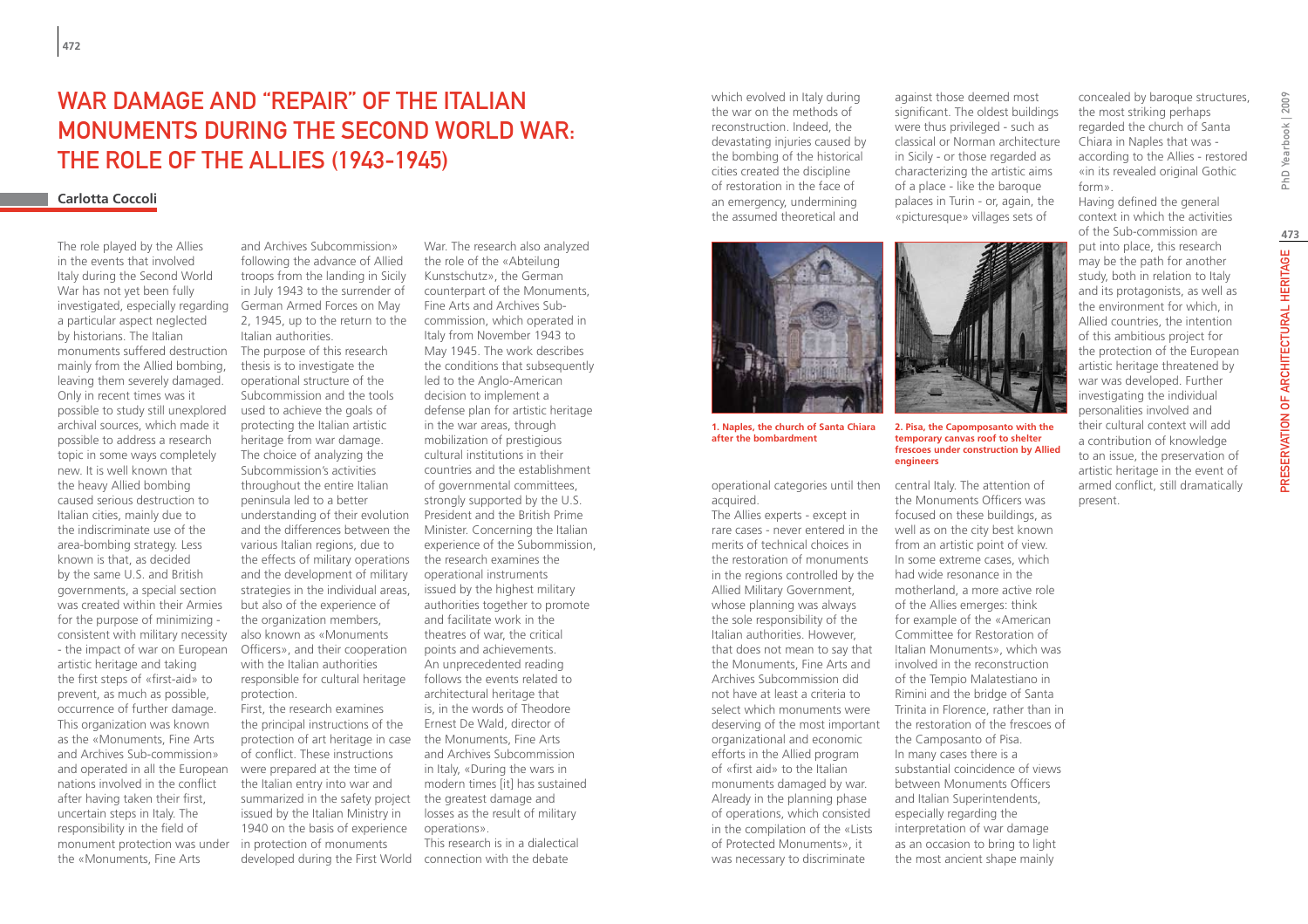# WAR DAMAGE AND "REPAIR" OF THE ITALIAN monuments during the Second World War: the role of the Allies (1943-1945)

#### **Carlotta Coccoli**

investigated, especially regarding German Armed Forces on May The role played by the Allies in the events that involved Italy during the Second World War has not yet been fully a particular aspect neglected by historians. The Italian monuments suffered destruction mainly from the Allied bombing, leaving them severely damaged. Only in recent times was it possible to study still unexplored archival sources, which made it possible to address a research topic in some ways completely new. It is well known that the heavy Allied bombing caused serious destruction to Italian cities, mainly due to the indiscriminate use of the area-bombing strategy. Less known is that, as decided by the same U.S. and British governments, a special section was created within their Armies for the purpose of minimizing consistent with military necessity - the impact of war on European artistic heritage and taking the first steps of «first-aid» to prevent, as much as possible, occurrence of further damage. This organization was known as the «Monuments, Fine Arts and Archives Sub-commission» and operated in all the European nations involved in the conflict after having taken their first, uncertain steps in Italy. The responsibility in the field of monument protection was under the «Monuments, Fine Arts

and Archives Subcommission» following the advance of Allied troops from the landing in Sicily in July 1943 to the surrender of 2, 1945, up to the return to the Italian authorities. The purpose of this research thesis is to investigate the operational structure of the Subcommission and the tools used to achieve the goals of protecting the Italian artistic heritage from war damage. The choice of analyzing the Subcommission's activities throughout the entire Italian peninsula led to a better understanding of their evolution and the differences between the various Italian regions, due to the effects of military operations the research examines the and the development of military strategies in the individual areas, but also of the experience of the organization members, also known as «Monuments Officers», and their cooperation with the Italian authorities responsible for cultural heritage protection. First, the research examines

the principal instructions of the protection of art heritage in case of conflict. These instructions were prepared at the time of the Italian entry into war and summarized in the safety project issued by the Italian Ministry in 1940 on the basis of experience in protection of monuments developed during the First World connection with the debate

War. The research also analyzed the role of the «Abteilung Kunstschutz», the German counterpart of the Monuments, Fine Arts and Archives Subcommission, which operated in Italy from November 1943 to May 1945. The work describes the conditions that subsequently led to the Anglo-American decision to implement a defense plan for artistic heritage in the war areas, through mobilization of prestigious cultural institutions in their countries and the establishment of governmental committees, strongly supported by the U.S. President and the British Prime Minister. Concerning the Italian experience of the Subommission, operational instruments issued by the highest military authorities together to promote and facilitate work in the theatres of war, the critical points and achievements. An unprecedented reading follows the events related to architectural heritage that is, in the words of Theodore Ernest De Wald, director of the Monuments, Fine Arts and Archives Subcommission in Italy, «During the wars in modern times [it] has sustained the greatest damage and losses as the result of military operations». This research is in a dialectical

which evolved in Italy during the war on the methods of reconstruction. Indeed, the devastating injuries caused by the bombing of the historical cities created the discipline of restoration in the face of an emergency, undermining the assumed theoretical and



**1. Naples, the church of Santa Chiara after the bombardment**

operational categories until then central Italy. The attention of acquired.

The Allies experts - except in rare cases - never entered in the merits of technical choices in the restoration of monuments in the regions controlled by the Allied Military Government, whose planning was always the sole responsibility of the Italian authorities. However, that does not mean to say that the Monuments, Fine Arts and Archives Subcommission did not have at least a criteria to select which monuments were deserving of the most important organizational and economic efforts in the Allied program of «first aid» to the Italian monuments damaged by war. Already in the planning phase of operations, which consisted in the compilation of the «Lists of Protected Monuments», it was necessary to discriminate

against those deemed most significant. The oldest buildings were thus privileged - such as classical or Norman architecture in Sicily - or those regarded as characterizing the artistic aims of a place - like the baroque palaces in Turin - or, again, the «picturesque» villages sets of

**2. Pisa, the Capomposanto with the temporary canvas roof to shelter frescoes under construction by Allied engineers**

the Monuments Officers was focused on these buildings, as well as on the city best known from an artistic point of view. In some extreme cases, which had wide resonance in the motherland, a more active role of the Allies emerges: think for example of the «American Committee for Restoration of Italian Monuments», which was involved in the reconstruction of the Tempio Malatestiano in Rimini and the bridge of Santa Trinita in Florence, rather than in the restoration of the frescoes of the Camposanto of Pisa. In many cases there is a substantial coincidence of views between Monuments Officers and Italian Superintendents, especially regarding the interpretation of war damage as an occasion to bring to light the most ancient shape mainly

concealed by baroque structures, the most striking perhaps regarded the church of Santa Chiara in Naples that was according to the Allies - restored «in its revealed original Gothic form».

Having defined the general context in which the activities of the Sub-commission are

put into place, this research may be the path for another study, both in relation to Italy and its protagonists, as well as the environment for which, in Allied countries, the intention of this ambitious project for the protection of the European artistic heritage threatened by war was developed. Further investigating the individual personalities involved and their cultural context will add a contribution of knowledge to an issue, the preservation of artistic heritage in the event of armed conflict, still dramatically present.

PhD Yearbook | 2009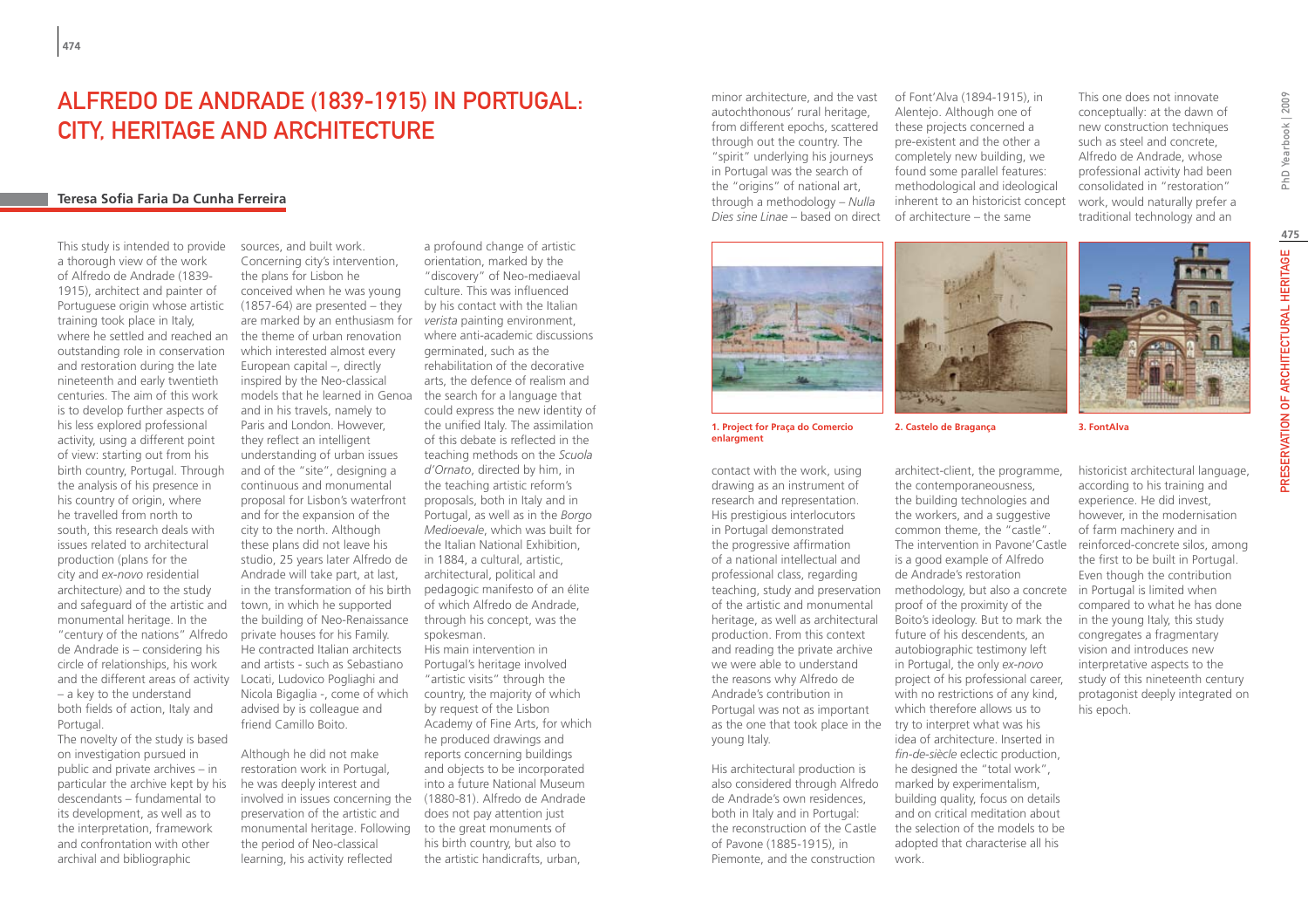# Alfredo de Andrade (1839-1915) in Portugal: City, Heritage and Architecture

### **Teresa Sofia Faria Da Cunha Ferreira**

and the different areas of activity Locati, Ludovico Pogliaghi and This study is intended to provide a thorough view of the work of Alfredo de Andrade (1839- 1915), architect and painter of Portuguese origin whose artistic training took place in Italy, where he settled and reached an outstanding role in conservation and restoration during the late nineteenth and early twentieth centuries. The aim of this work is to develop further aspects of his less explored professional activity, using a different point of view: starting out from his birth country, Portugal. Through the analysis of his presence in his country of origin, where he travelled from north to south, this research deals with issues related to architectural production (plans for the city and *ex-novo* residential architecture) and to the study and safeguard of the artistic and monumental heritage. In the "century of the nations" Alfredo de Andrade is – considering his circle of relationships, his work – a key to the understand both fields of action, Italy and Portugal.

The novelty of the study is based on investigation pursued in public and private archives – in particular the archive kept by his descendants – fundamental to its development, as well as to the interpretation, framework and confrontation with other archival and bibliographic

sources, and built work. Concerning city's intervention, the plans for Lisbon he conceived when he was young (1857-64) are presented – they are marked by an enthusiasm for the theme of urban renovation which interested almost every European capital –, directly inspired by the Neo-classical models that he learned in Genoa and in his travels, namely to Paris and London. However, they reflect an intelligent understanding of urban issues and of the "site", designing a continuous and monumental proposal for Lisbon's waterfront and for the expansion of the city to the north. Although these plans did not leave his studio, 25 years later Alfredo de in 1884, a cultural, artistic, Andrade will take part, at last, town, in which he supported the building of Neo-Renaissance private houses for his Family. He contracted Italian architects and artists - such as Sebastiano Nicola Bigaglia -, come of which advised by is colleague and friend Camillo Boito.

Although he did not make restoration work in Portugal, he was deeply interest and involved in issues concerning the (1880-81). Alfredo de Andrade preservation of the artistic and monumental heritage. Following the period of Neo-classical learning, his activity reflected

in the transformation of his birth pedagogic manifesto of an élite a profound change of artistic orientation, marked by the "discovery" of Neo-mediaeval culture. This was influenced by his contact with the Italian *verista* painting environment, where anti-academic discussions germinated, such as the rehabilitation of the decorative arts, the defence of realism and the search for a language that could express the new identity of the unified Italy. The assimilation of this debate is reflected in the teaching methods on the *Scuola d'Ornato*, directed by him, in the teaching artistic reform's proposals, both in Italy and in Portugal, as well as in the *Borgo Medioevale*, which was built for the Italian National Exhibition, architectural, political and of which Alfredo de Andrade, through his concept, was the spokesman. His main intervention in Portugal's heritage involved "artistic visits" through the country, the majority of which by request of the Lisbon Academy of Fine Arts, for which

he produced drawings and reports concerning buildings and objects to be incorporated into a future National Museum does not pay attention just to the great monuments of his birth country, but also to the artistic handicrafts, urban,

minor architecture, and the vast autochthonous' rural heritage, from different epochs, scattered through out the country. The "spirit" underlying his journeys in Portugal was the search of the "origins" of national art, through a methodology – *Nulla Dies sine Linae* – based on direct of architecture – the same

of Font'Alva (1894-1915), in Alentejo. Although one of these projects concerned a pre-existent and the other a completely new building, we found some parallel features: methodological and ideological inherent to an historicist concept This one does not innovate conceptually: at the dawn of new construction techniques such as steel and concrete, Alfredo de Andrade, whose professional activity had been consolidated in "restoration" work, would naturally prefer a traditional technology and an

PhD Yearbook | 2009

**1. Project for Praça do Comercio enlargment**

contact with the work, using drawing as an instrument of research and representation. His prestigious interlocutors in Portugal demonstrated the progressive affirmation of a national intellectual and professional class, regarding of the artistic and monumental heritage, as well as architectural production. From this context and reading the private archive we were able to understand the reasons why Alfredo de Andrade's contribution in Portugal was not as important as the one that took place in the try to interpret what was his young Italy.

His architectural production is also considered through Alfredo de Andrade's own residences, both in Italy and in Portugal: the reconstruction of the Castle of Pavone (1885-1915), in Piemonte, and the construction



historicist architectural language, according to his training and experience. He did invest, however, in the modernisation of farm machinery and in reinforced-concrete silos, among the first to be built in Portugal. Even though the contribution in Portugal is limited when compared to what he has done in the young Italy, this study congregates a fragmentary vision and introduces new interpretative aspects to the study of this nineteenth century protagonist deeply integrated on his epoch.

teaching, study and preservation methodology, but also a concrete common theme, the "castle". The intervention in Pavone'Castle is a good example of Alfredo de Andrade's restoration proof of the proximity of the Boito's ideology. But to mark the future of his descendents, an autobiographic testimony left in Portugal, the only *ex-novo* project of his professional career, with no restrictions of any kind, which therefore allows us to idea of architecture. Inserted in *fin-de-siècle* eclectic production, he designed the "total work", marked by experimentalism, building quality, focus on details and on critical meditation about the selection of the models to be adopted that characterise all his

work.

John John **2. Castelo de Bragança 3. FontAlva**

architect-client, the programme, the contemporaneousness, the building technologies and the workers, and a suggestive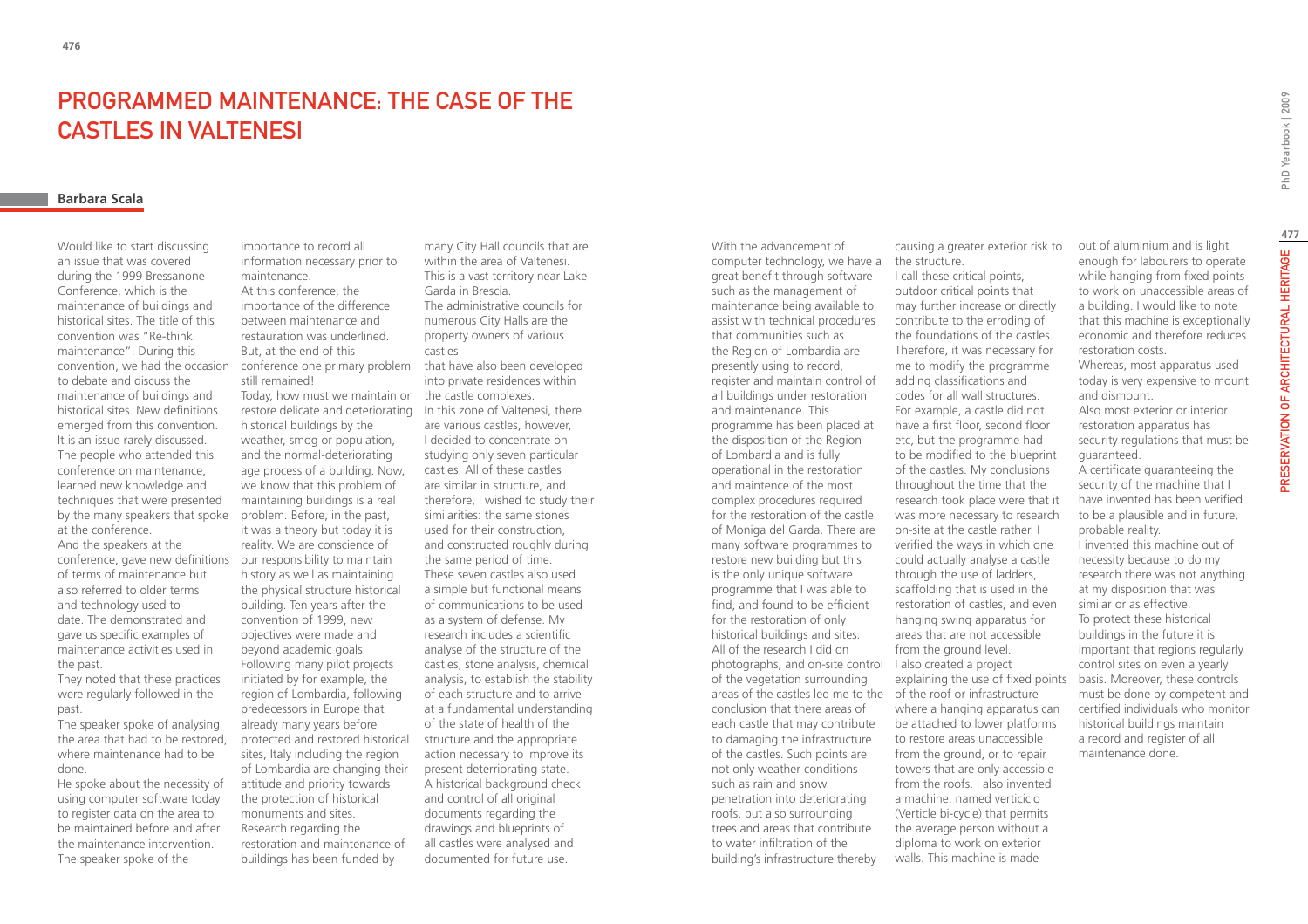# Programmed Maintenance: The case of the castles in Valtenesi

#### **Barbara Scala**

convention, we had the occasion conference one primary problem that have also been developed conference, gave new definitions our responsibility to maintain Would like to start discussing an issue that was covered during the 1999 Bressanone Conference, which is the maintenance of buildings and historical sites. The title of this convention was "Re-think maintenance". During this to debate and discuss the maintenance of buildings and historical sites. New definitions emerged from this convention. It is an issue rarely discussed. The people who attended this conference on maintenance, learned new knowledge and techniques that were presented by the many speakers that spoke at the conference. And the speakers at the of terms of maintenance but

also referred to older terms and technology used to date. The demonstrated and gave us specific examples of maintenance activities used in the past.

They noted that these practices were regularly followed in the past.

The speaker spoke of analysing the area that had to be restored, where maintenance had to be done.

He spoke about the necessity of using computer software today to register data on the area to be maintained before and after the maintenance intervention. The speaker spoke of the

importance to record all information necessary prior to maintenance. At this conference, the importance of the difference between maintenance and restauration was underlined. But, at the end of this still remained! Today, how must we maintain or the castle complexes. restore delicate and deteriorating In this zone of Valtenesi, there historical buildings by the weather, smog or population, and the normal-deteriorating age process of a building. Now, we know that this problem of maintaining buildings is a real problem. Before, in the past, it was a theory but today it is reality. We are conscience of history as well as maintaining the physical structure historical building. Ten years after the convention of 1999, new objectives were made and beyond academic goals. Following many pilot projects initiated by for example, the region of Lombardia, following predecessors in Europe that already many years before protected and restored historical sites, Italy including the region of Lombardia are changing their attitude and priority towards the protection of historical monuments and sites. Research regarding the restoration and maintenance of buildings has been funded by

many City Hall councils that are within the area of Valtenesi. This is a vast territory near Lake Garda in Brescia. The administrative councils for numerous City Halls are the property owners of various castles

into private residences within

are various castles, however, I decided to concentrate on studying only seven particular castles. All of these castles are similar in structure, and therefore, I wished to study their similarities: the same stones used for their construction, and constructed roughly during the same period of time. These seven castles also used a simple but functional means of communications to be used as a system of defense. My research includes a scientific analyse of the structure of the castles, stone analysis, chemical analysis, to establish the stability of each structure and to arrive at a fundamental understanding of the state of health of the structure and the appropriate action necessary to improve its present deterriorating state. A historical background check and control of all original documents regarding the drawings and blueprints of all castles were analysed and documented for future use.

With the advancement of computer technology, we have a great benefit through software such as the management of maintenance being available to assist with technical procedures that communities such as the Region of Lombardia are presently using to record, register and maintain control of all buildings under restoration and maintenance. This programme has been placed at the disposition of the Region of Lombardia and is fully operational in the restoration and maintence of the most complex procedures required for the restoration of the castle of Moniga del Garda. There are many software programmes to restore new building but this is the only unique software programme that I was able to find, and found to be efficient for the restoration of only historical buildings and sites. All of the research I did on photographs, and on-site control of the vegetation surrounding areas of the castles led me to the of the roof or infrastructure conclusion that there areas of each castle that may contribute to damaging the infrastructure of the castles. Such points are not only weather conditions such as rain and snow penetration into deteriorating roofs, but also surrounding trees and areas that contribute to water infiltration of the building's infrastructure thereby

causing a greater exterior risk to the structure.

I call these critical points, outdoor critical points that may further increase or directly contribute to the erroding of the foundations of the castles. Therefore, it was necessary for me to modify the programme adding classifications and codes for all wall structures. For example, a castle did not have a first floor, second floor etc, but the programme had to be modified to the blueprint of the castles. My conclusions throughout the time that the research took place were that it was more necessary to research on-site at the castle rather. I verified the ways in which one could actually analyse a castle through the use of ladders, scaffolding that is used in the restoration of castles, and even hanging swing apparatus for areas that are not accessible from the ground level. I also created a project explaining the use of fixed points where a hanging apparatus can be attached to lower platforms to restore areas unaccessible from the ground, or to repair towers that are only accessible from the roofs. I also invented a machine, named verticiclo (Verticle bi-cycle) that permits the average person without a diploma to work on exterior walls. This machine is made

**477**out of aluminium and is light PRESERVATION OF ARCHITECTURAL HERITAGE enough for labourers to operate while hanging from fixed points to work on unaccessible areas of a building. I would like to note that this machine is exceptionally economic and therefore reduces Whereas, most apparatus used today is very expensive to mount

and dismount. Also most exterior or interior restoration apparatus has security regulations that must be guaranteed.

restoration costs.

A certificate guaranteeing the security of the machine that I have invented has been verified to be a plausible and in future, probable reality.

I invented this machine out of necessity because to do my research there was not anything at my disposition that was similar or as effective. To protect these historical buildings in the future it is important that regions regularly control sites on even a yearly basis. Moreover, these controls must be done by competent and certified individuals who monitor historical buildings maintain a record and register of all maintenance done.